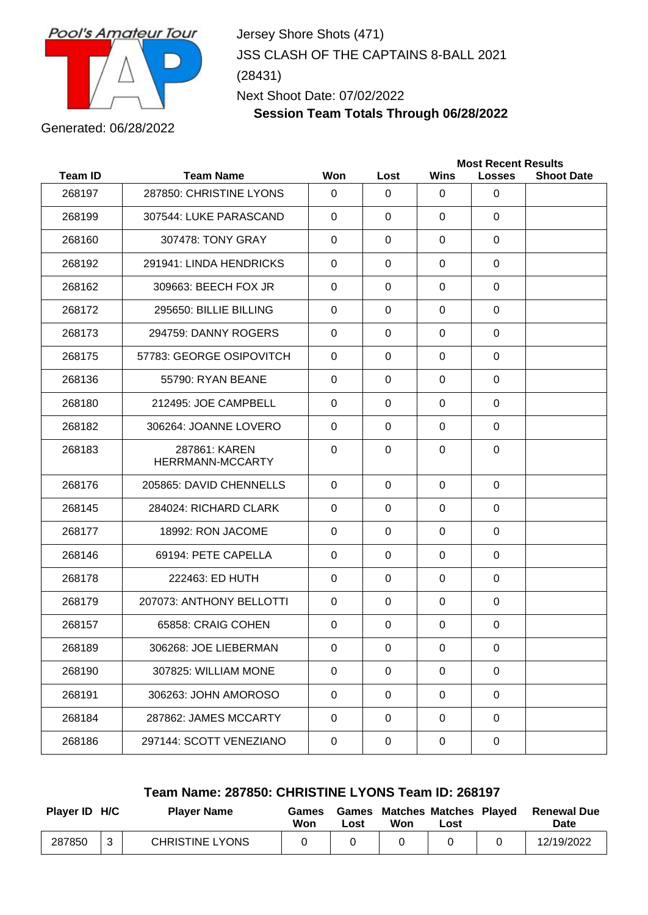

Jersey Shore Shots (471) JSS CLASH OF THE CAPTAINS 8-BALL 2021 (28431) Next Shoot Date: 07/02/2022

**Session Team Totals Through 06/28/2022**

Generated: 06/28/2022

| <b>Team ID</b><br><b>Team Name</b><br>Won<br><b>Wins</b><br>Lost<br><b>Losses</b><br>268197<br>287850: CHRISTINE LYONS<br>$\Omega$<br>$\mathbf{0}$<br>$\Omega$<br>0<br>$\mathbf 0$<br>268199<br>307544: LUKE PARASCAND<br>$\Omega$<br>$\Omega$<br>$\Omega$<br>307478: TONY GRAY<br>268160<br>0<br>$\Omega$<br>$\mathbf{0}$<br>0<br>291941: LINDA HENDRICKS<br>268192<br>$\Omega$<br>$\Omega$<br>$\Omega$<br>0<br>268162<br>$\mathbf 0$<br>$\mathbf 0$<br>309663: BEECH FOX JR<br>0<br>0<br>268172<br>295650: BILLIE BILLING<br>$\Omega$<br>$\Omega$<br>$\Omega$<br>0<br>294759: DANNY ROGERS<br>$\Omega$<br>$\Omega$<br>$\mathbf{0}$<br>$\Omega$<br>268173<br>57783: GEORGE OSIPOVITCH<br>268175<br>$\Omega$<br>$\Omega$<br>$\Omega$<br>$\Omega$<br>268136<br>55790: RYAN BEANE<br>$\Omega$<br>$\mathbf{0}$<br>0<br>0<br>268180<br>212495: JOE CAMPBELL<br>0<br>$\Omega$<br>$\Omega$<br>0<br>268182<br>306264: JOANNE LOVERO<br>$\Omega$<br>$\Omega$<br>$\Omega$<br>$\Omega$<br>$\mathbf 0$<br>287861: KAREN<br>0<br>$\Omega$<br>0<br>268183<br>HERRMANN-MCCARTY<br>268176<br>205865: DAVID CHENNELLS<br>$\Omega$<br>$\Omega$<br>$\mathbf{0}$<br>0<br>$\mathbf 0$<br>268145<br>284024: RICHARD CLARK<br>$\Omega$<br>$\Omega$<br>$\Omega$<br>268177<br>18992: RON JACOME<br>0<br>$\Omega$<br>$\mathbf{0}$<br>0<br>69194: PETE CAPELLA<br>268146<br>$\Omega$<br>$\Omega$<br>$\mathbf{0}$<br>$\Omega$<br>268178<br>222463: ED HUTH<br>0<br>$\Omega$<br>$\mathbf{0}$<br>0<br>268179<br>207073: ANTHONY BELLOTTI<br>$\Omega$<br>0<br>0<br>0<br>268157<br>65858: CRAIG COHEN<br>$\Omega$<br>0<br>0<br>0<br>268189<br>306268: JOE LIEBERMAN<br>$\mathbf 0$<br>0<br>0<br>0<br>268190<br>307825: WILLIAM MONE<br>$\mathbf 0$<br>$\mathbf 0$<br>$\mathbf 0$<br>0<br>268191<br>306263: JOHN AMOROSO<br>0<br>$\mathbf 0$<br>$\mathbf 0$<br>$\mathbf 0$ |        | <b>Most Recent Results</b> |             |             |             |   |                   |
|--------------------------------------------------------------------------------------------------------------------------------------------------------------------------------------------------------------------------------------------------------------------------------------------------------------------------------------------------------------------------------------------------------------------------------------------------------------------------------------------------------------------------------------------------------------------------------------------------------------------------------------------------------------------------------------------------------------------------------------------------------------------------------------------------------------------------------------------------------------------------------------------------------------------------------------------------------------------------------------------------------------------------------------------------------------------------------------------------------------------------------------------------------------------------------------------------------------------------------------------------------------------------------------------------------------------------------------------------------------------------------------------------------------------------------------------------------------------------------------------------------------------------------------------------------------------------------------------------------------------------------------------------------------------------------------------------------------------------------------------------------------------------------------------------------------------------------------------|--------|----------------------------|-------------|-------------|-------------|---|-------------------|
|                                                                                                                                                                                                                                                                                                                                                                                                                                                                                                                                                                                                                                                                                                                                                                                                                                                                                                                                                                                                                                                                                                                                                                                                                                                                                                                                                                                                                                                                                                                                                                                                                                                                                                                                                                                                                                            |        |                            |             |             |             |   | <b>Shoot Date</b> |
|                                                                                                                                                                                                                                                                                                                                                                                                                                                                                                                                                                                                                                                                                                                                                                                                                                                                                                                                                                                                                                                                                                                                                                                                                                                                                                                                                                                                                                                                                                                                                                                                                                                                                                                                                                                                                                            |        |                            |             |             |             |   |                   |
|                                                                                                                                                                                                                                                                                                                                                                                                                                                                                                                                                                                                                                                                                                                                                                                                                                                                                                                                                                                                                                                                                                                                                                                                                                                                                                                                                                                                                                                                                                                                                                                                                                                                                                                                                                                                                                            |        |                            |             |             |             |   |                   |
|                                                                                                                                                                                                                                                                                                                                                                                                                                                                                                                                                                                                                                                                                                                                                                                                                                                                                                                                                                                                                                                                                                                                                                                                                                                                                                                                                                                                                                                                                                                                                                                                                                                                                                                                                                                                                                            |        |                            |             |             |             |   |                   |
|                                                                                                                                                                                                                                                                                                                                                                                                                                                                                                                                                                                                                                                                                                                                                                                                                                                                                                                                                                                                                                                                                                                                                                                                                                                                                                                                                                                                                                                                                                                                                                                                                                                                                                                                                                                                                                            |        |                            |             |             |             |   |                   |
|                                                                                                                                                                                                                                                                                                                                                                                                                                                                                                                                                                                                                                                                                                                                                                                                                                                                                                                                                                                                                                                                                                                                                                                                                                                                                                                                                                                                                                                                                                                                                                                                                                                                                                                                                                                                                                            |        |                            |             |             |             |   |                   |
|                                                                                                                                                                                                                                                                                                                                                                                                                                                                                                                                                                                                                                                                                                                                                                                                                                                                                                                                                                                                                                                                                                                                                                                                                                                                                                                                                                                                                                                                                                                                                                                                                                                                                                                                                                                                                                            |        |                            |             |             |             |   |                   |
|                                                                                                                                                                                                                                                                                                                                                                                                                                                                                                                                                                                                                                                                                                                                                                                                                                                                                                                                                                                                                                                                                                                                                                                                                                                                                                                                                                                                                                                                                                                                                                                                                                                                                                                                                                                                                                            |        |                            |             |             |             |   |                   |
|                                                                                                                                                                                                                                                                                                                                                                                                                                                                                                                                                                                                                                                                                                                                                                                                                                                                                                                                                                                                                                                                                                                                                                                                                                                                                                                                                                                                                                                                                                                                                                                                                                                                                                                                                                                                                                            |        |                            |             |             |             |   |                   |
|                                                                                                                                                                                                                                                                                                                                                                                                                                                                                                                                                                                                                                                                                                                                                                                                                                                                                                                                                                                                                                                                                                                                                                                                                                                                                                                                                                                                                                                                                                                                                                                                                                                                                                                                                                                                                                            |        |                            |             |             |             |   |                   |
|                                                                                                                                                                                                                                                                                                                                                                                                                                                                                                                                                                                                                                                                                                                                                                                                                                                                                                                                                                                                                                                                                                                                                                                                                                                                                                                                                                                                                                                                                                                                                                                                                                                                                                                                                                                                                                            |        |                            |             |             |             |   |                   |
|                                                                                                                                                                                                                                                                                                                                                                                                                                                                                                                                                                                                                                                                                                                                                                                                                                                                                                                                                                                                                                                                                                                                                                                                                                                                                                                                                                                                                                                                                                                                                                                                                                                                                                                                                                                                                                            |        |                            |             |             |             |   |                   |
|                                                                                                                                                                                                                                                                                                                                                                                                                                                                                                                                                                                                                                                                                                                                                                                                                                                                                                                                                                                                                                                                                                                                                                                                                                                                                                                                                                                                                                                                                                                                                                                                                                                                                                                                                                                                                                            |        |                            |             |             |             |   |                   |
|                                                                                                                                                                                                                                                                                                                                                                                                                                                                                                                                                                                                                                                                                                                                                                                                                                                                                                                                                                                                                                                                                                                                                                                                                                                                                                                                                                                                                                                                                                                                                                                                                                                                                                                                                                                                                                            |        |                            |             |             |             |   |                   |
|                                                                                                                                                                                                                                                                                                                                                                                                                                                                                                                                                                                                                                                                                                                                                                                                                                                                                                                                                                                                                                                                                                                                                                                                                                                                                                                                                                                                                                                                                                                                                                                                                                                                                                                                                                                                                                            |        |                            |             |             |             |   |                   |
|                                                                                                                                                                                                                                                                                                                                                                                                                                                                                                                                                                                                                                                                                                                                                                                                                                                                                                                                                                                                                                                                                                                                                                                                                                                                                                                                                                                                                                                                                                                                                                                                                                                                                                                                                                                                                                            |        |                            |             |             |             |   |                   |
|                                                                                                                                                                                                                                                                                                                                                                                                                                                                                                                                                                                                                                                                                                                                                                                                                                                                                                                                                                                                                                                                                                                                                                                                                                                                                                                                                                                                                                                                                                                                                                                                                                                                                                                                                                                                                                            |        |                            |             |             |             |   |                   |
|                                                                                                                                                                                                                                                                                                                                                                                                                                                                                                                                                                                                                                                                                                                                                                                                                                                                                                                                                                                                                                                                                                                                                                                                                                                                                                                                                                                                                                                                                                                                                                                                                                                                                                                                                                                                                                            |        |                            |             |             |             |   |                   |
|                                                                                                                                                                                                                                                                                                                                                                                                                                                                                                                                                                                                                                                                                                                                                                                                                                                                                                                                                                                                                                                                                                                                                                                                                                                                                                                                                                                                                                                                                                                                                                                                                                                                                                                                                                                                                                            |        |                            |             |             |             |   |                   |
|                                                                                                                                                                                                                                                                                                                                                                                                                                                                                                                                                                                                                                                                                                                                                                                                                                                                                                                                                                                                                                                                                                                                                                                                                                                                                                                                                                                                                                                                                                                                                                                                                                                                                                                                                                                                                                            |        |                            |             |             |             |   |                   |
|                                                                                                                                                                                                                                                                                                                                                                                                                                                                                                                                                                                                                                                                                                                                                                                                                                                                                                                                                                                                                                                                                                                                                                                                                                                                                                                                                                                                                                                                                                                                                                                                                                                                                                                                                                                                                                            |        |                            |             |             |             |   |                   |
|                                                                                                                                                                                                                                                                                                                                                                                                                                                                                                                                                                                                                                                                                                                                                                                                                                                                                                                                                                                                                                                                                                                                                                                                                                                                                                                                                                                                                                                                                                                                                                                                                                                                                                                                                                                                                                            |        |                            |             |             |             |   |                   |
|                                                                                                                                                                                                                                                                                                                                                                                                                                                                                                                                                                                                                                                                                                                                                                                                                                                                                                                                                                                                                                                                                                                                                                                                                                                                                                                                                                                                                                                                                                                                                                                                                                                                                                                                                                                                                                            |        |                            |             |             |             |   |                   |
|                                                                                                                                                                                                                                                                                                                                                                                                                                                                                                                                                                                                                                                                                                                                                                                                                                                                                                                                                                                                                                                                                                                                                                                                                                                                                                                                                                                                                                                                                                                                                                                                                                                                                                                                                                                                                                            | 268184 | 287862: JAMES MCCARTY      | $\mathbf 0$ | $\mathbf 0$ | $\mathbf 0$ | 0 |                   |
| 268186<br>297144: SCOTT VENEZIANO<br>$\pmb{0}$<br>$\mathbf 0$<br>$\mathbf 0$<br>0                                                                                                                                                                                                                                                                                                                                                                                                                                                                                                                                                                                                                                                                                                                                                                                                                                                                                                                                                                                                                                                                                                                                                                                                                                                                                                                                                                                                                                                                                                                                                                                                                                                                                                                                                          |        |                            |             |             |             |   |                   |

## **Team Name: 287850: CHRISTINE LYONS Team ID: 268197**

| Player ID H/C |              | <b>Player Name</b>     | Games<br>Won | ∟ost | <b>Games Matches Matches Played</b><br>Won | Lost | <b>Renewal Due</b><br>Date |
|---------------|--------------|------------------------|--------------|------|--------------------------------------------|------|----------------------------|
| 287850        | $\mathbf{r}$ | <b>CHRISTINE LYONS</b> |              |      |                                            |      | 12/19/2022                 |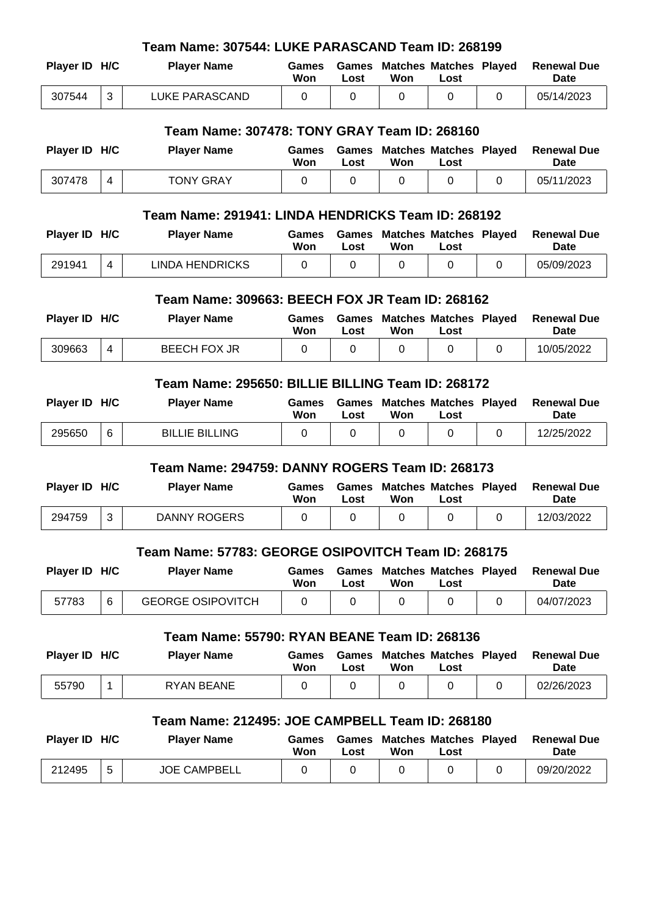| Team Name: 307544: LUKE PARASCAND Team ID: 268199 |                |                                                     |                     |                      |                                      |                                       |          |                                   |  |
|---------------------------------------------------|----------------|-----------------------------------------------------|---------------------|----------------------|--------------------------------------|---------------------------------------|----------|-----------------------------------|--|
| Player ID H/C                                     |                | <b>Player Name</b>                                  | Games<br>Won        | <b>Games</b><br>Lost | <b>Matches Matches Played</b><br>Won | Lost                                  |          | <b>Renewal Due</b><br><b>Date</b> |  |
| 307544                                            | 3              | <b>LUKE PARASCAND</b>                               | 0                   | 0                    | 0                                    | 0                                     | 0        | 05/14/2023                        |  |
| Team Name: 307478: TONY GRAY Team ID: 268160      |                |                                                     |                     |                      |                                      |                                       |          |                                   |  |
| Player ID H/C                                     |                | <b>Player Name</b>                                  | Games<br>Won        | Games<br>Lost        | Won                                  | <b>Matches Matches Played</b><br>Lost |          | <b>Renewal Due</b><br>Date        |  |
| 307478                                            | 4              | <b>TONY GRAY</b>                                    | $\Omega$            | $\Omega$             | $\Omega$                             | 0                                     | $\Omega$ | 05/11/2023                        |  |
|                                                   |                | Team Name: 291941: LINDA HENDRICKS Team ID: 268192  |                     |                      |                                      |                                       |          |                                   |  |
| Player ID H/C                                     |                | <b>Player Name</b>                                  | Games<br>Won        | Games<br>Lost        | Won                                  | <b>Matches Matches Played</b><br>Lost |          | <b>Renewal Due</b><br>Date        |  |
| 291941                                            | $\overline{4}$ | <b>LINDA HENDRICKS</b>                              | 0                   | 0                    | 0                                    | 0                                     | $\Omega$ | 05/09/2023                        |  |
|                                                   |                | Team Name: 309663: BEECH FOX JR Team ID: 268162     |                     |                      |                                      |                                       |          |                                   |  |
| Player ID H/C                                     |                | <b>Player Name</b>                                  | Games               | Games                |                                      | <b>Matches Matches Played</b>         |          | <b>Renewal Due</b>                |  |
|                                                   |                |                                                     | Won                 | Lost                 | Won                                  | Lost                                  |          | Date                              |  |
| 309663                                            | 4              | <b>BEECH FOX JR</b>                                 | $\Omega$            | 0                    | 0                                    | 0                                     | $\Omega$ | 10/05/2022                        |  |
| Team Name: 295650: BILLIE BILLING Team ID: 268172 |                |                                                     |                     |                      |                                      |                                       |          |                                   |  |
| Player ID H/C                                     |                | <b>Player Name</b>                                  | Games<br>Won        | Games<br>Lost        | Won                                  | <b>Matches Matches Played</b><br>Lost |          | <b>Renewal Due</b><br>Date        |  |
| 295650                                            | 6              | <b>BILLIE BILLING</b>                               | 0                   | 0                    | 0                                    | 0                                     | 0        | 12/25/2022                        |  |
|                                                   |                | Team Name: 294759: DANNY ROGERS Team ID: 268173     |                     |                      |                                      |                                       |          |                                   |  |
| Player ID H/C                                     |                | <b>Player Name</b>                                  | <b>Games</b><br>Won | Games<br>Lost        | Won                                  | <b>Matches Matches Played</b><br>Lost |          | <b>Renewal Due</b><br><b>Date</b> |  |
| 294759                                            | 3              | <b>DANNY ROGERS</b>                                 | 0                   | 0                    | 0                                    | 0                                     | 0        | 12/03/2022                        |  |
|                                                   |                | Team Name: 57783: GEORGE OSIPOVITCH Team ID: 268175 |                     |                      |                                      |                                       |          |                                   |  |
| Player ID H/C                                     |                | <b>Player Name</b>                                  | <b>Games</b><br>Won | Games<br>Lost        | Won                                  | <b>Matches Matches Played</b><br>Lost |          | <b>Renewal Due</b><br>Date        |  |
| 57783                                             | 6              | <b>GEORGE OSIPOVITCH</b>                            | $\Omega$            | 0                    | 0                                    | 0                                     | 0        | 04/07/2023                        |  |
| Team Name: 55790: RYAN BEANE Team ID: 268136      |                |                                                     |                     |                      |                                      |                                       |          |                                   |  |
|                                                   |                |                                                     |                     |                      |                                      |                                       |          |                                   |  |
| Player ID H/C                                     |                | <b>Player Name</b>                                  | Games<br>Won        | <b>Games</b><br>Lost | Won                                  | <b>Matches Matches Played</b><br>Lost |          | <b>Renewal Due</b><br><b>Date</b> |  |
| 55790                                             | 1              | <b>RYAN BEANE</b>                                   | 0                   | 0                    | 0                                    | 0                                     | 0        | 02/26/2023                        |  |
|                                                   |                | Team Name: 212495: JOE CAMPBELL Team ID: 268180     |                     |                      |                                      |                                       |          |                                   |  |
| Player ID H/C                                     |                | <b>Player Name</b>                                  | <b>Games</b><br>Won | Games                |                                      | <b>Matches Matches Played</b>         |          | <b>Renewal Due</b><br>Date        |  |
| 212495                                            | 5              | <b>JOE CAMPBELL</b>                                 | 0                   | Lost<br>0            | Won<br>0                             | Lost<br>0                             | 0        | 09/20/2022                        |  |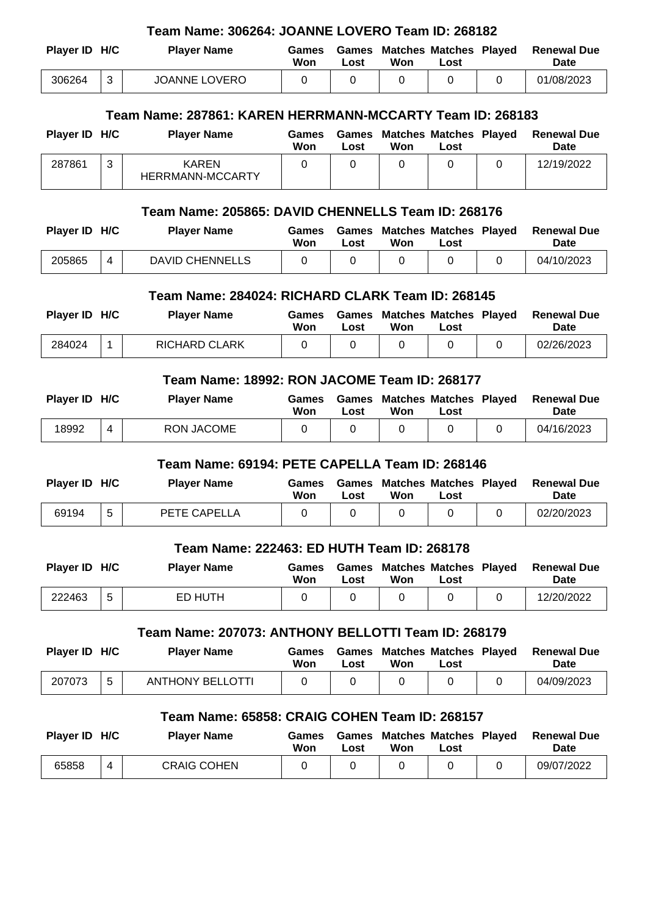| Team Name: 306264: JOANNE LOVERO Team ID: 268182                                           |                                            |                                                           |                     |                      |                                            |                                       |          |                                   |  |  |
|--------------------------------------------------------------------------------------------|--------------------------------------------|-----------------------------------------------------------|---------------------|----------------------|--------------------------------------------|---------------------------------------|----------|-----------------------------------|--|--|
| Player ID H/C                                                                              |                                            | <b>Player Name</b>                                        | Games<br>Won        | Games<br>Lost        | Won                                        | <b>Matches Matches Played</b><br>Lost |          | <b>Renewal Due</b><br><b>Date</b> |  |  |
| 306264                                                                                     | 3                                          | <b>JOANNE LOVERO</b>                                      | 0                   | 0                    | 0                                          | 0                                     | 0        | 01/08/2023                        |  |  |
|                                                                                            |                                            | Team Name: 287861: KAREN HERRMANN-MCCARTY Team ID: 268183 |                     |                      |                                            |                                       |          |                                   |  |  |
|                                                                                            |                                            |                                                           |                     |                      |                                            |                                       |          |                                   |  |  |
| Player ID H/C                                                                              |                                            | <b>Player Name</b>                                        | <b>Games</b><br>Won | <b>Games</b><br>Lost | Won                                        | <b>Matches Matches Played</b><br>Lost |          | <b>Renewal Due</b><br><b>Date</b> |  |  |
| 287861                                                                                     | 3                                          | <b>KAREN</b><br><b>HERRMANN-MCCARTY</b>                   | $\Omega$            | 0                    | $\Omega$                                   | $\Omega$                              | $\Omega$ | 12/19/2022                        |  |  |
|                                                                                            |                                            | Team Name: 205865: DAVID CHENNELLS Team ID: 268176        |                     |                      |                                            |                                       |          |                                   |  |  |
| Player ID H/C                                                                              |                                            | <b>Player Name</b>                                        | Games<br>Won        | Games<br>Lost        | Won                                        | <b>Matches Matches Played</b><br>Lost |          | <b>Renewal Due</b><br><b>Date</b> |  |  |
| 205865                                                                                     | 4                                          | <b>DAVID CHENNELLS</b>                                    | 0                   | 0                    | 0                                          | 0                                     | 0        | 04/10/2023                        |  |  |
|                                                                                            |                                            | Team Name: 284024: RICHARD CLARK Team ID: 268145          |                     |                      |                                            |                                       |          |                                   |  |  |
| Player ID H/C                                                                              |                                            | <b>Player Name</b>                                        | Games               | Games                |                                            | <b>Matches Matches Played</b>         |          | <b>Renewal Due</b>                |  |  |
|                                                                                            |                                            |                                                           | Won                 | Lost                 | Won                                        | Lost                                  |          | <b>Date</b>                       |  |  |
| 284024                                                                                     | 1                                          | <b>RICHARD CLARK</b>                                      | 0                   | 0                    | $\Omega$                                   | 0                                     | 0        | 02/26/2023                        |  |  |
| Team Name: 18992: RON JACOME Team ID: 268177                                               |                                            |                                                           |                     |                      |                                            |                                       |          |                                   |  |  |
| Player ID H/C                                                                              |                                            | <b>Player Name</b>                                        | Games<br>Won        | Games<br>Lost        | Won                                        | <b>Matches Matches Played</b><br>Lost |          | <b>Renewal Due</b><br><b>Date</b> |  |  |
| 18992                                                                                      | 4                                          | <b>RON JACOME</b>                                         | 0                   | 0                    | 0                                          | 0                                     | 0        | 04/16/2023                        |  |  |
|                                                                                            |                                            | Team Name: 69194: PETE CAPELLA Team ID: 268146            |                     |                      |                                            |                                       |          |                                   |  |  |
| Player ID H/C                                                                              |                                            | <b>Player Name</b>                                        | <b>Games</b>        |                      | <b>Games Matches Matches Played</b>        |                                       |          | <b>Renewal Due</b>                |  |  |
|                                                                                            |                                            |                                                           | Won                 | Lost                 | Won                                        | Lost                                  |          | Date                              |  |  |
| 69194                                                                                      | 5                                          | PETE CAPELLA                                              | 0                   | 0                    | 0                                          | 0                                     | 0        | 02/20/2023                        |  |  |
|                                                                                            | Team Name: 222463: ED HUTH Team ID: 268178 |                                                           |                     |                      |                                            |                                       |          |                                   |  |  |
| Player ID H/C                                                                              |                                            | <b>Player Name</b>                                        | Games<br>Won        | Lost                 | <b>Games Matches Matches Played</b><br>Won | Lost                                  |          | <b>Renewal Due</b><br><b>Date</b> |  |  |
| 222463                                                                                     | 5                                          | <b>ED HUTH</b>                                            | $\Omega$            | 0                    | 0                                          | 0                                     | $\Omega$ | 12/20/2022                        |  |  |
|                                                                                            |                                            |                                                           |                     |                      |                                            |                                       |          |                                   |  |  |
| Team Name: 207073: ANTHONY BELLOTTI Team ID: 268179<br><b>Games Matches Matches Played</b> |                                            |                                                           |                     |                      |                                            |                                       |          |                                   |  |  |
| Player ID H/C                                                                              |                                            | <b>Player Name</b>                                        | Games<br>Won        | Lost                 | Won                                        | Lost                                  |          | <b>Renewal Due</b><br><b>Date</b> |  |  |
| 207073                                                                                     | 5                                          | <b>ANTHONY BELLOTTI</b>                                   | 0                   | 0                    | 0                                          | 0                                     | 0        | 04/09/2023                        |  |  |
| Team Name: 65858: CRAIG COHEN Team ID: 268157                                              |                                            |                                                           |                     |                      |                                            |                                       |          |                                   |  |  |
|                                                                                            |                                            |                                                           |                     |                      |                                            |                                       |          |                                   |  |  |
| Player ID H/C                                                                              |                                            | <b>Player Name</b>                                        | <b>Games</b><br>Won | Lost                 | <b>Games Matches Matches Played</b><br>Won | Lost                                  |          | <b>Renewal Due</b><br><b>Date</b> |  |  |
| 65858                                                                                      | $\overline{4}$                             | <b>CRAIG COHEN</b>                                        | 0                   | 0                    | $\Omega$                                   | 0                                     | 0        | 09/07/2022                        |  |  |